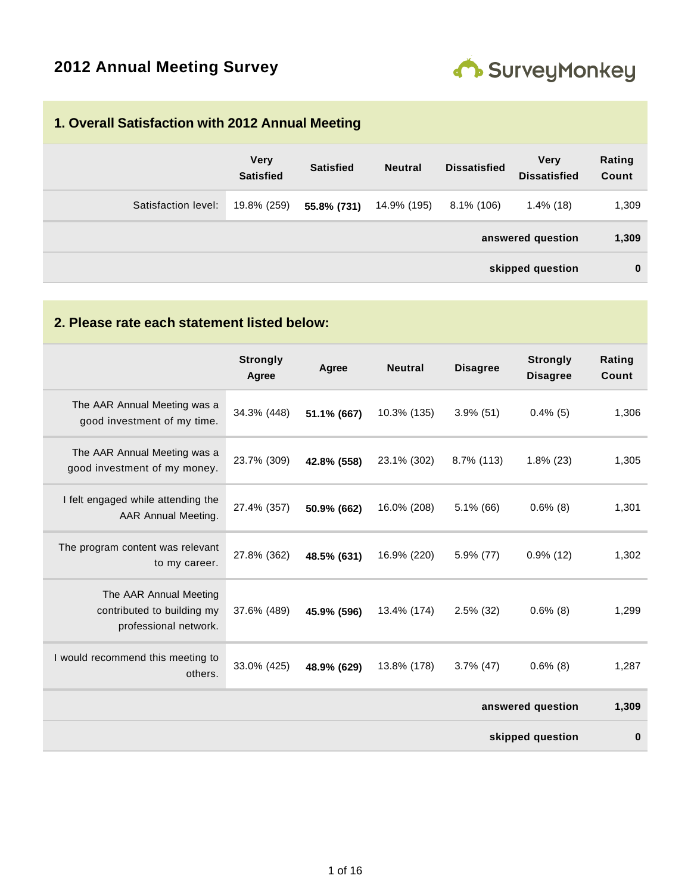

#### **1. Overall Satisfaction with 2012 Annual Meeting**

|                     | <b>Very</b><br><b>Satisfied</b> | <b>Satisfied</b> | <b>Neutral</b> | <b>Dissatisfied</b> | <b>Very</b><br><b>Dissatisfied</b> | Rating<br>Count |
|---------------------|---------------------------------|------------------|----------------|---------------------|------------------------------------|-----------------|
| Satisfaction level: | 19.8% (259)                     | 55.8% (731)      | 14.9% (195)    | $8.1\%$ (106)       | $1.4\%$ (18)                       | 1,309           |
|                     |                                 |                  |                |                     | answered question                  | 1,309           |
|                     |                                 |                  |                |                     | skipped question                   | $\bf{0}$        |

### **2. Please rate each statement listed below:**

|                                                                               | <b>Strongly</b><br>Agree | Agree       | <b>Neutral</b> | <b>Disagree</b> | <b>Strongly</b><br><b>Disagree</b> | Rating<br>Count |
|-------------------------------------------------------------------------------|--------------------------|-------------|----------------|-----------------|------------------------------------|-----------------|
| The AAR Annual Meeting was a<br>good investment of my time.                   | 34.3% (448)              | 51.1% (667) | 10.3% (135)    | $3.9\%$ (51)    | $0.4\%$ (5)                        | 1,306           |
| The AAR Annual Meeting was a<br>good investment of my money.                  | 23.7% (309)              | 42.8% (558) | 23.1% (302)    | 8.7% (113)      | $1.8\%$ (23)                       | 1,305           |
| I felt engaged while attending the<br>AAR Annual Meeting.                     | 27.4% (357)              | 50.9% (662) | 16.0% (208)    | $5.1\%$ (66)    | $0.6\%$ (8)                        | 1,301           |
| The program content was relevant<br>to my career.                             | 27.8% (362)              | 48.5% (631) | 16.9% (220)    | 5.9% (77)       | $0.9\%$ (12)                       | 1,302           |
| The AAR Annual Meeting<br>contributed to building my<br>professional network. | 37.6% (489)              | 45.9% (596) | 13.4% (174)    | $2.5\%$ (32)    | $0.6\%$ (8)                        | 1,299           |
| I would recommend this meeting to<br>others.                                  | 33.0% (425)              | 48.9% (629) | 13.8% (178)    | $3.7\%$ (47)    | $0.6\%$ (8)                        | 1,287           |
|                                                                               |                          |             |                |                 | answered question                  | 1,309           |
|                                                                               |                          |             |                |                 | skipped question                   | $\mathbf 0$     |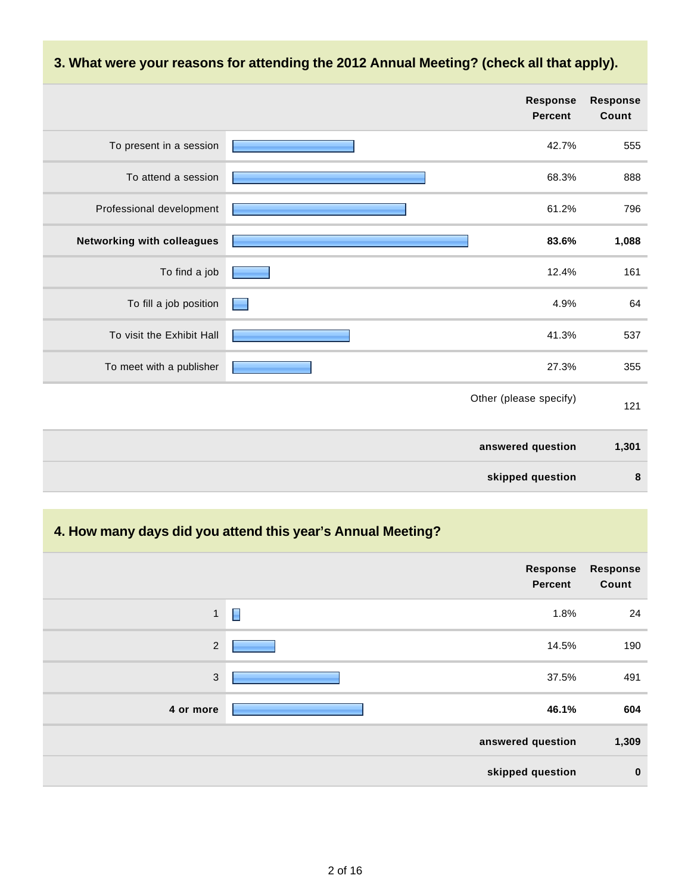#### **3. What were your reasons for attending the 2012 Annual Meeting? (check all that apply).**

|                            | <b>Response</b><br><b>Percent</b> | <b>Response</b><br>Count |
|----------------------------|-----------------------------------|--------------------------|
| To present in a session    | 42.7%                             | 555                      |
| To attend a session        | 68.3%                             | 888                      |
| Professional development   | 61.2%                             | 796                      |
| Networking with colleagues | 83.6%                             | 1,088                    |
| To find a job              | 12.4%                             | 161                      |
| To fill a job position     | 4.9%                              | 64                       |
| To visit the Exhibit Hall  | 41.3%                             | 537                      |
| To meet with a publisher   | 27.3%                             | 355                      |
|                            | Other (please specify)            | 121                      |
|                            | answered question                 | 1,301                    |
|                            | skipped question                  | 8                        |

# **4. How many days did you attend this year's Annual Meeting?**

|              | Response<br><b>Percent</b> | <b>Response</b><br>Count |
|--------------|----------------------------|--------------------------|
| $\mathbf{1}$ | Γ<br>1.8%                  | 24                       |
| $\sqrt{2}$   | 14.5%                      | 190                      |
| $\mathbf{3}$ | 37.5%                      | 491                      |
| 4 or more    | 46.1%                      | 604                      |
|              | answered question          | 1,309                    |
|              | skipped question           | $\bf{0}$                 |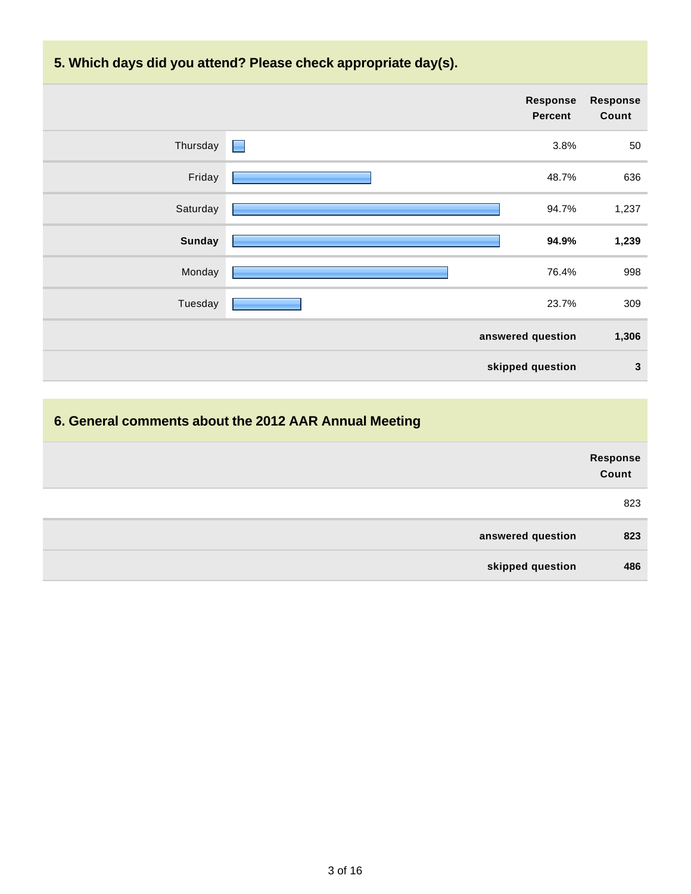



# **6. General comments about the 2012 AAR Annual Meeting**

|                   | Response<br>Count |
|-------------------|-------------------|
|                   | 823               |
| answered question | 823               |
| skipped question  | 486               |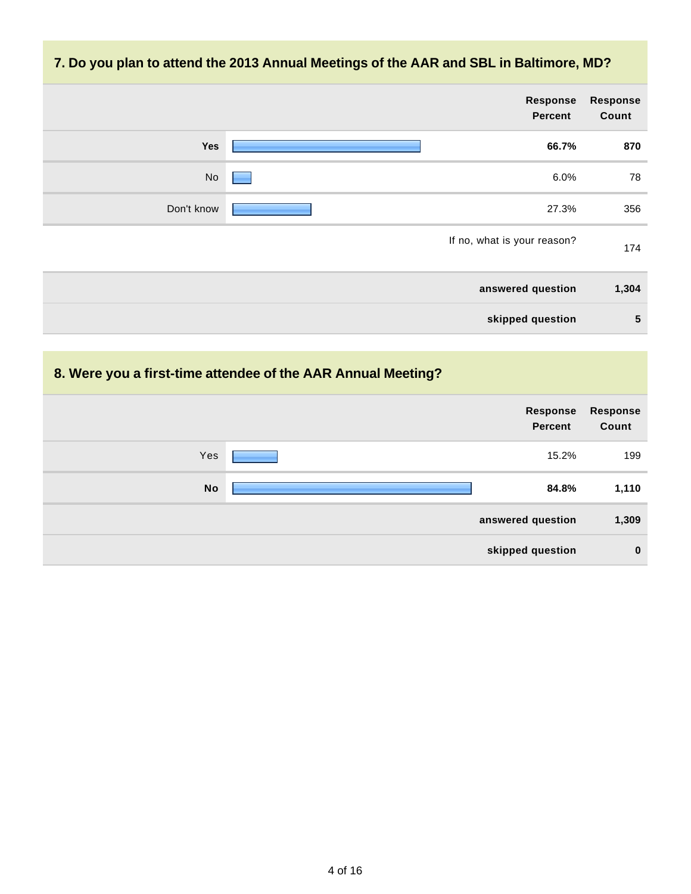### **7. Do you plan to attend the 2013 Annual Meetings of the AAR and SBL in Baltimore, MD?**

| <b>Response</b><br>Count | Response<br><b>Percent</b>  |            |
|--------------------------|-----------------------------|------------|
| 870                      | 66.7%                       | Yes        |
| 78                       | 6.0%                        | No         |
| 356                      | 27.3%                       | Don't know |
| 174                      | If no, what is your reason? |            |
| 1,304                    | answered question           |            |
| $5\phantom{1}$           | skipped question            |            |

# **8. Were you a first-time attendee of the AAR Annual Meeting?**

|           | Response<br><b>Percent</b> | Response<br>Count |
|-----------|----------------------------|-------------------|
| Yes       | 15.2%                      | 199               |
| <b>No</b> | 84.8%                      | 1,110             |
|           | answered question          | 1,309             |
|           | skipped question           | $\mathbf 0$       |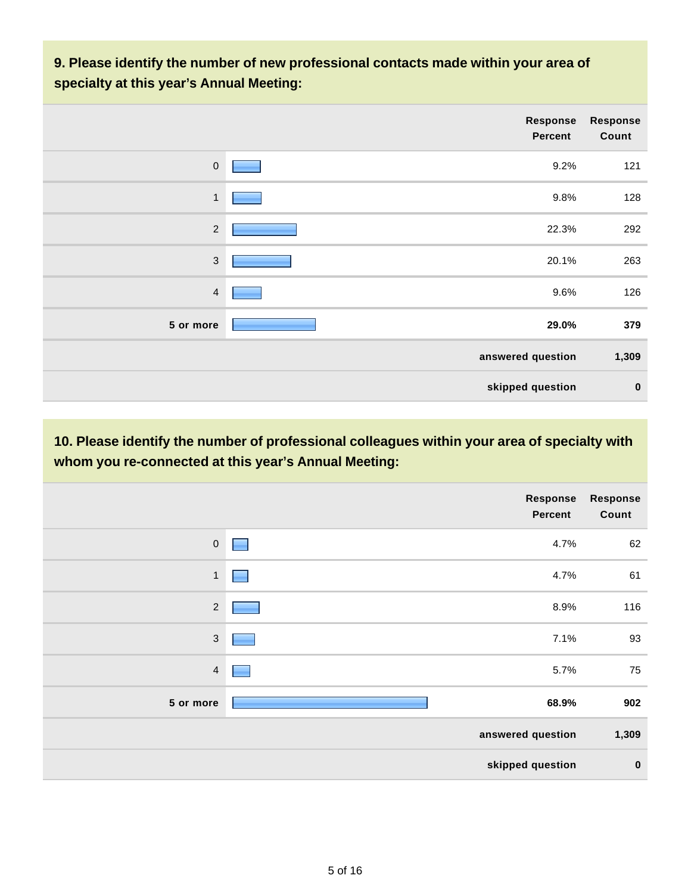### **9. Please identify the number of new professional contacts made within your area of specialty at this year's Annual Meeting:**

|                | <b>Response</b><br><b>Percent</b> | <b>Response</b><br>Count |
|----------------|-----------------------------------|--------------------------|
| $\mathbf 0$    | 9.2%                              | 121                      |
| $\mathbf{1}$   | 9.8%                              | 128                      |
| $\sqrt{2}$     | 22.3%                             | 292                      |
| $\sqrt{3}$     | 20.1%                             | 263                      |
| $\overline{4}$ | 9.6%                              | 126                      |
| 5 or more      | 29.0%                             | 379                      |
|                | answered question                 | 1,309                    |
|                | skipped question                  | $\mathbf 0$              |

**10. Please identify the number of professional colleagues within your area of specialty with whom you re-connected at this year's Annual Meeting:**

|                  | Response<br>Percent | <b>Response</b><br>Count |
|------------------|---------------------|--------------------------|
| $\boldsymbol{0}$ | 4.7%                | 62                       |
| $\mathbf{1}$     | 4.7%                | 61                       |
| $\overline{2}$   | 8.9%                | 116                      |
| $\sqrt{3}$       | 7.1%                | 93                       |
| $\overline{4}$   | 5.7%                | 75                       |
| 5 or more        | 68.9%               | 902                      |
|                  | answered question   | 1,309                    |
|                  | skipped question    | $\bf{0}$                 |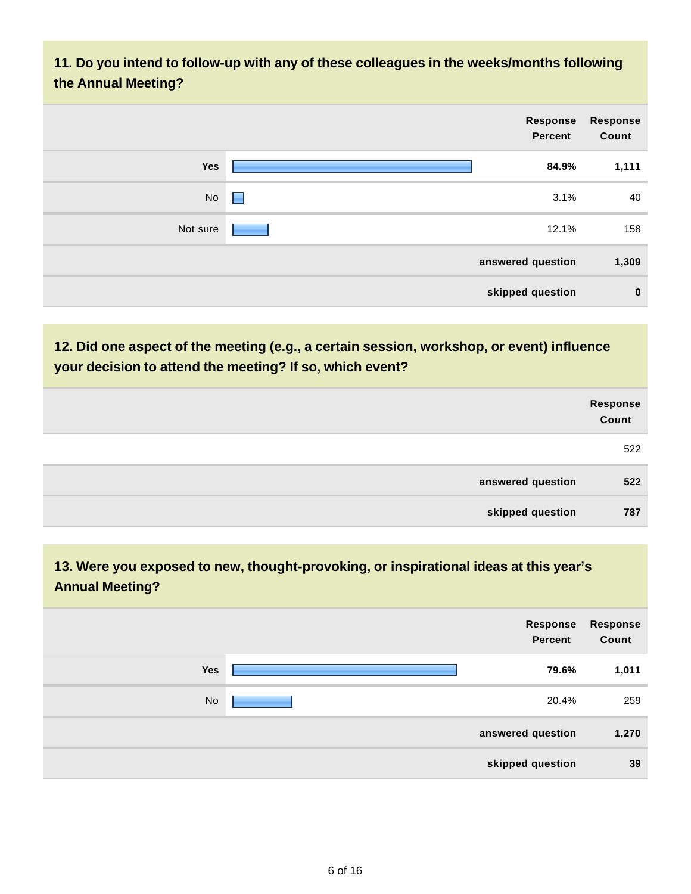**11. Do you intend to follow-up with any of these colleagues in the weeks/months following the Annual Meeting?**

| Response<br>Count | Response<br><b>Percent</b> |   |          |
|-------------------|----------------------------|---|----------|
| 1,111             | 84.9%                      |   | Yes      |
| 40                | 3.1%                       | Н | No       |
| 158               | 12.1%                      |   | Not sure |
| 1,309             | answered question          |   |          |
| $\mathbf 0$       | skipped question           |   |          |

**12. Did one aspect of the meeting (e.g., a certain session, workshop, or event) influence your decision to attend the meeting? If so, which event?**

|                   | Response<br>Count |
|-------------------|-------------------|
|                   | 522               |
| answered question | 522               |
| skipped question  | 787               |

**13. Were you exposed to new, thought-provoking, or inspirational ideas at this year's Annual Meeting?**

|           | Response<br>Percent | <b>Response</b><br>Count |
|-----------|---------------------|--------------------------|
| Yes       | 79.6%               | 1,011                    |
| <b>No</b> | 20.4%               | 259                      |
|           | answered question   | 1,270                    |
|           | skipped question    | 39                       |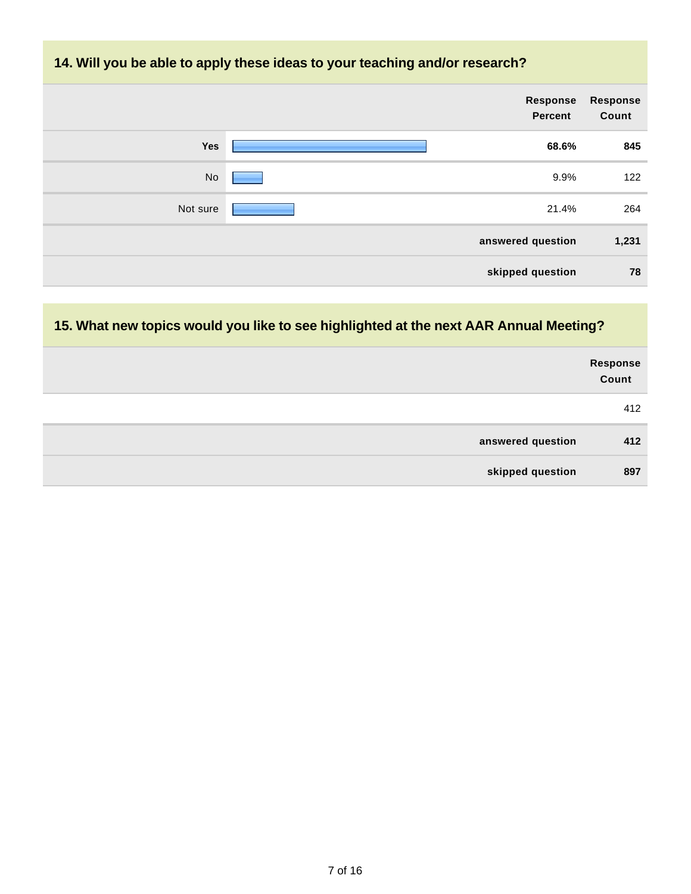#### **14. Will you be able to apply these ideas to your teaching and/or research?**

|          | Response<br>Percent | Response<br>Count |
|----------|---------------------|-------------------|
| Yes      | 68.6%               | 845               |
| No       | 9.9%                | 122               |
| Not sure | 21.4%               | 264               |
|          | answered question   | 1,231             |
|          | skipped question    | 78                |

# **15. What new topics would you like to see highlighted at the next AAR Annual Meeting?**

|                   | Response<br>Count |
|-------------------|-------------------|
|                   | 412               |
| answered question | 412               |
| skipped question  | 897               |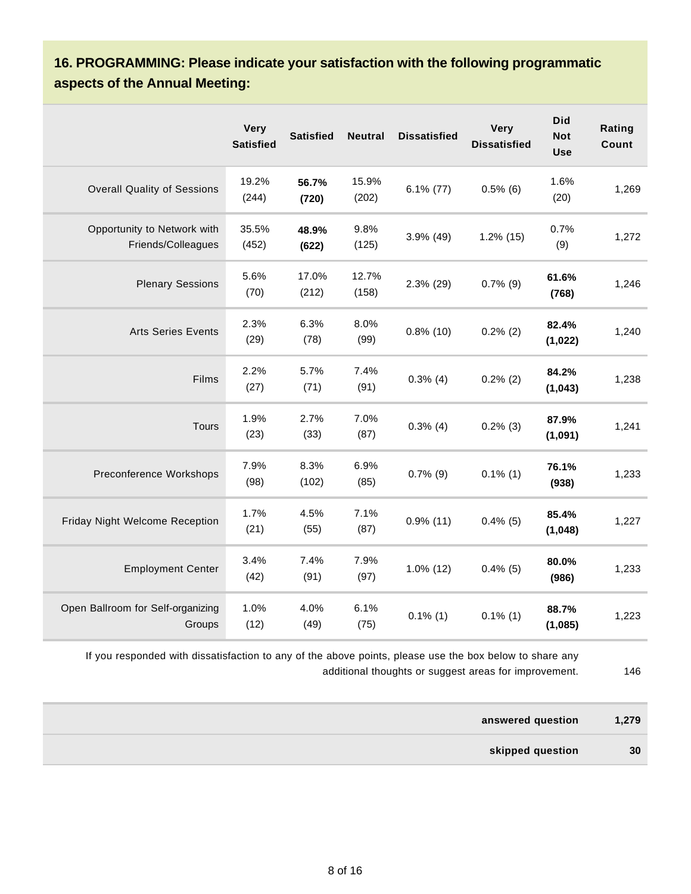**16. PROGRAMMING: Please indicate your satisfaction with the following programmatic aspects of the Annual Meeting:**

|                                                   | <b>Very</b><br><b>Satisfied</b> | <b>Satisfied</b> | <b>Neutral</b> | <b>Dissatisfied</b> | Very<br><b>Dissatisfied</b> | <b>Did</b><br><b>Not</b><br><b>Use</b> | Rating<br>Count |
|---------------------------------------------------|---------------------------------|------------------|----------------|---------------------|-----------------------------|----------------------------------------|-----------------|
| <b>Overall Quality of Sessions</b>                | 19.2%<br>(244)                  | 56.7%<br>(720)   | 15.9%<br>(202) | $6.1\%$ (77)        | $0.5\%$ (6)                 | 1.6%<br>(20)                           | 1,269           |
| Opportunity to Network with<br>Friends/Colleagues | 35.5%<br>(452)                  | 48.9%<br>(622)   | 9.8%<br>(125)  | $3.9\%$ (49)        | $1.2\%$ (15)                | 0.7%<br>(9)                            | 1,272           |
| <b>Plenary Sessions</b>                           | 5.6%<br>(70)                    | 17.0%<br>(212)   | 12.7%<br>(158) | 2.3% (29)           | $0.7\%$ (9)                 | 61.6%<br>(768)                         | 1,246           |
| <b>Arts Series Events</b>                         | 2.3%<br>(29)                    | 6.3%<br>(78)     | 8.0%<br>(99)   | $0.8\%$ (10)        | $0.2\%$ (2)                 | 82.4%<br>(1,022)                       | 1,240           |
| Films                                             | 2.2%<br>(27)                    | 5.7%<br>(71)     | 7.4%<br>(91)   | $0.3\%$ (4)         | $0.2\%$ (2)                 | 84.2%<br>(1,043)                       | 1,238           |
| <b>Tours</b>                                      | 1.9%<br>(23)                    | 2.7%<br>(33)     | 7.0%<br>(87)   | $0.3\%$ (4)         | $0.2\%$ (3)                 | 87.9%<br>(1,091)                       | 1,241           |
| Preconference Workshops                           | 7.9%<br>(98)                    | 8.3%<br>(102)    | 6.9%<br>(85)   | $0.7\%$ (9)         | $0.1\%$ (1)                 | 76.1%<br>(938)                         | 1,233           |
| Friday Night Welcome Reception                    | 1.7%<br>(21)                    | 4.5%<br>(55)     | 7.1%<br>(87)   | $0.9\%$ (11)        | $0.4\%$ (5)                 | 85.4%<br>(1,048)                       | 1,227           |
| <b>Employment Center</b>                          | 3.4%<br>(42)                    | 7.4%<br>(91)     | 7.9%<br>(97)   | $1.0\%$ (12)        | $0.4\%$ (5)                 | 80.0%<br>(986)                         | 1,233           |
| Open Ballroom for Self-organizing<br>Groups       | 1.0%<br>(12)                    | 4.0%<br>(49)     | 6.1%<br>(75)   | $0.1\%$ (1)         | $0.1\%$ (1)                 | 88.7%<br>(1,085)                       | 1,223           |

If you responded with dissatisfaction to any of the above points, please use the box below to share any additional thoughts or suggest areas for improvement. 46

**answered question 1,279 skipped question 30**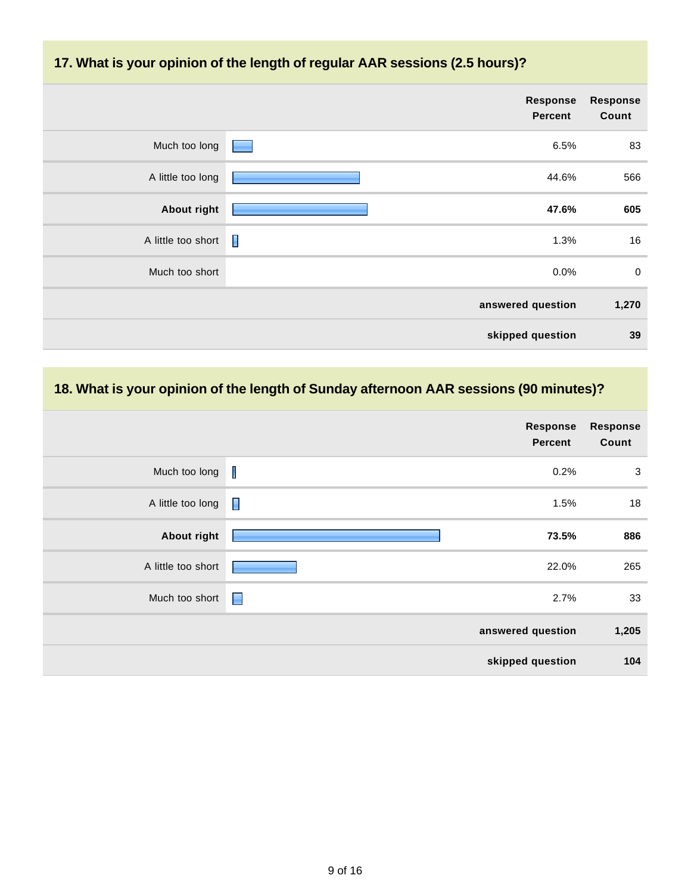#### **17. What is your opinion of the length of regular AAR sessions (2.5 hours)?**

|                    | Response<br><b>Percent</b> | <b>Response</b><br>Count |
|--------------------|----------------------------|--------------------------|
| Much too long      | 6.5%<br><b>Contract</b>    | 83                       |
| A little too long  | 44.6%                      | 566                      |
| <b>About right</b> | 47.6%                      | 605                      |
| A little too short | Π<br>1.3%                  | 16                       |
| Much too short     | 0.0%                       | $\pmb{0}$                |
|                    | answered question          | 1,270                    |
|                    | skipped question           | 39                       |

# **18. What is your opinion of the length of Sunday afternoon AAR sessions (90 minutes)?**

|                    |                | Response<br><b>Percent</b> | <b>Response</b><br>Count |
|--------------------|----------------|----------------------------|--------------------------|
| Much too long      | $\blacksquare$ | 0.2%                       | 3                        |
| A little too long  | П              | 1.5%                       | 18                       |
| <b>About right</b> |                | 73.5%                      | 886                      |
| A little too short |                | 22.0%                      | 265                      |
| Much too short     | H              | 2.7%                       | 33                       |
|                    |                | answered question          | 1,205                    |
|                    |                | skipped question           | 104                      |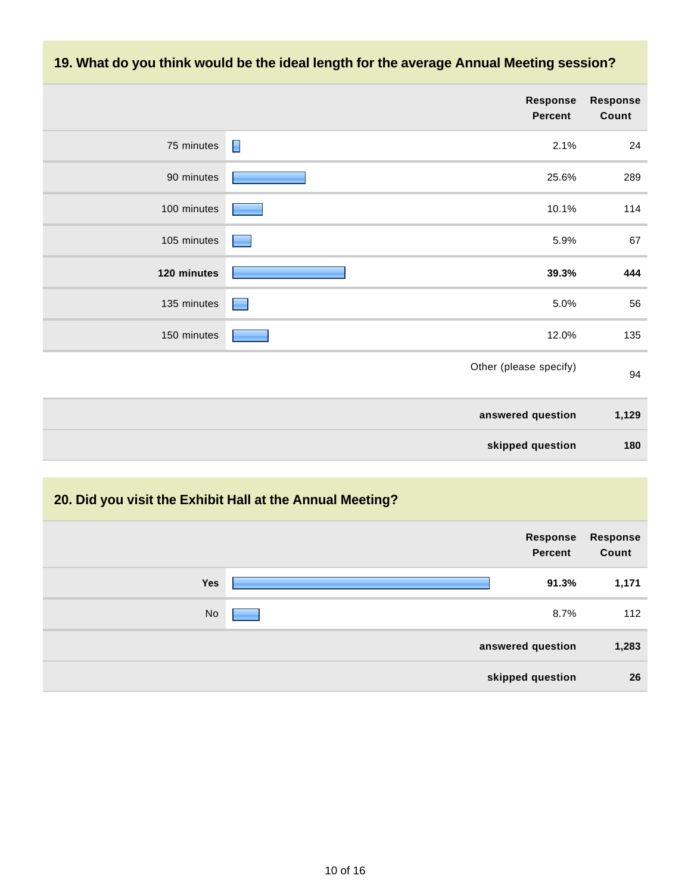

#### **20. Did you visit the Exhibit Hall at the Annual Meeting?**

|           | Response<br><b>Percent</b> | Response<br>Count |
|-----------|----------------------------|-------------------|
| Yes       | 91.3%                      | 1,171             |
| <b>No</b> | 8.7%                       | 112               |
|           | answered question          | 1,283             |
|           | skipped question           | 26                |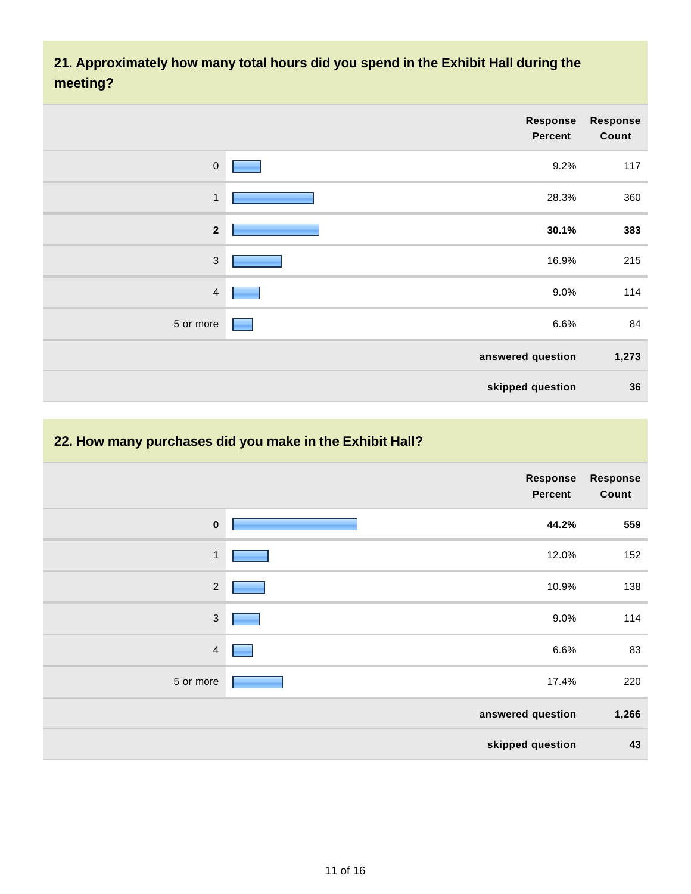### **21. Approximately how many total hours did you spend in the Exhibit Hall during the meeting?**

|                | Response<br><b>Percent</b> | <b>Response</b><br>Count |
|----------------|----------------------------|--------------------------|
| $\mathsf{O}$   | 9.2%                       | 117                      |
| $\mathbf{1}$   | 28.3%                      | 360                      |
| $\mathbf{2}$   | 30.1%                      | 383                      |
| $\mathfrak{Z}$ | 16.9%                      | 215                      |
| $\overline{4}$ | 9.0%                       | 114                      |
| 5 or more      | 6.6%                       | 84                       |
|                | answered question          | 1,273                    |
|                | skipped question           | 36                       |

#### **22. How many purchases did you make in the Exhibit Hall?**

|                | Response<br><b>Percent</b> | <b>Response</b><br>Count |
|----------------|----------------------------|--------------------------|
| $\mathbf 0$    | 44.2%                      | 559                      |
| $\mathbf{1}$   | 12.0%                      | 152                      |
| $\sqrt{2}$     | 10.9%                      | 138                      |
| $\sqrt{3}$     | 9.0%                       | 114                      |
| $\overline{4}$ | 6.6%                       | 83                       |
| 5 or more      | 17.4%                      | 220                      |
|                | answered question          | 1,266                    |
|                | skipped question           | 43                       |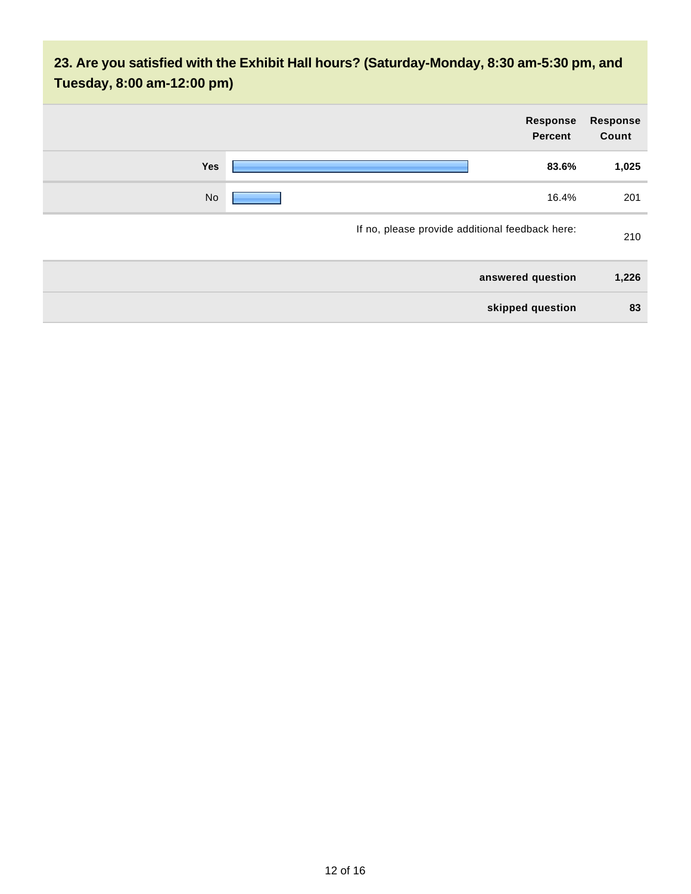# **23. Are you satisfied with the Exhibit Hall hours? (Saturday-Monday, 8:30 am-5:30 pm, and Tuesday, 8:00 am-12:00 pm)**

| <b>Response</b><br>Count | Response<br><b>Percent</b>                      |     |
|--------------------------|-------------------------------------------------|-----|
| 1,025                    | 83.6%                                           | Yes |
| 201                      | 16.4%                                           | No  |
| 210                      | If no, please provide additional feedback here: |     |
| 1,226                    | answered question                               |     |
| 83                       | skipped question                                |     |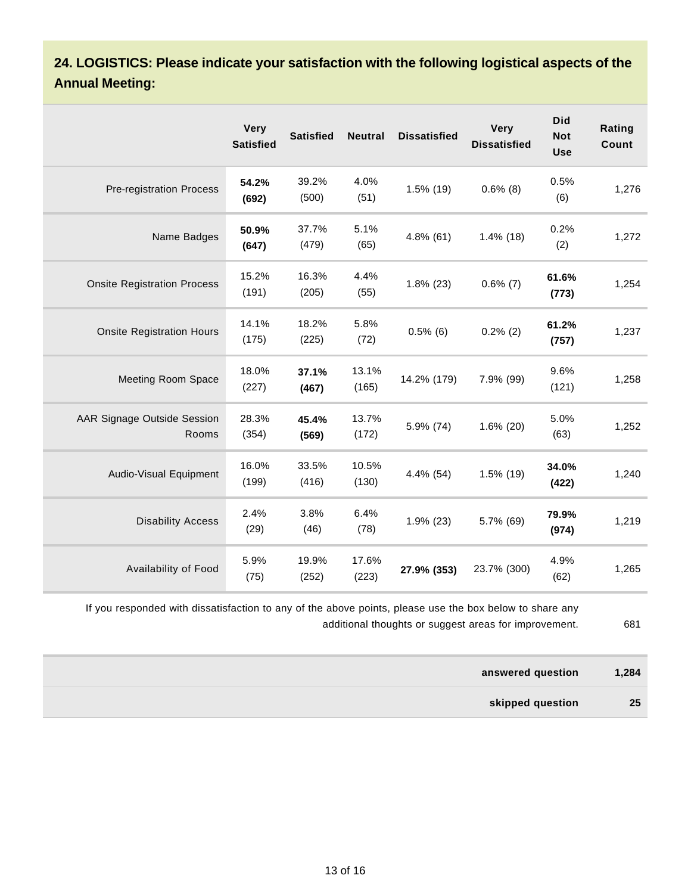**24. LOGISTICS: Please indicate your satisfaction with the following logistical aspects of the Annual Meeting:**

|                                      | <b>Very</b><br><b>Satisfied</b> | <b>Satisfied</b> | <b>Neutral</b> | <b>Dissatisfied</b> | <b>Very</b><br><b>Dissatisfied</b> | <b>Did</b><br><b>Not</b><br><b>Use</b> | Rating<br><b>Count</b> |
|--------------------------------------|---------------------------------|------------------|----------------|---------------------|------------------------------------|----------------------------------------|------------------------|
| <b>Pre-registration Process</b>      | 54.2%<br>(692)                  | 39.2%<br>(500)   | 4.0%<br>(51)   | $1.5\%$ (19)        | $0.6\%$ (8)                        | 0.5%<br>(6)                            | 1,276                  |
| Name Badges                          | 50.9%<br>(647)                  | 37.7%<br>(479)   | 5.1%<br>(65)   | $4.8\%$ (61)        | $1.4\%$ (18)                       | 0.2%<br>(2)                            | 1,272                  |
| <b>Onsite Registration Process</b>   | 15.2%<br>(191)                  | 16.3%<br>(205)   | 4.4%<br>(55)   | $1.8\%$ (23)        | $0.6\%$ (7)                        | 61.6%<br>(773)                         | 1,254                  |
| <b>Onsite Registration Hours</b>     | 14.1%<br>(175)                  | 18.2%<br>(225)   | 5.8%<br>(72)   | $0.5\%$ (6)         | $0.2\%$ (2)                        | 61.2%<br>(757)                         | 1,237                  |
| <b>Meeting Room Space</b>            | 18.0%<br>(227)                  | 37.1%<br>(467)   | 13.1%<br>(165) | 14.2% (179)         | 7.9% (99)                          | 9.6%<br>(121)                          | 1,258                  |
| AAR Signage Outside Session<br>Rooms | 28.3%<br>(354)                  | 45.4%<br>(569)   | 13.7%<br>(172) | 5.9% (74)           | $1.6\%$ (20)                       | 5.0%<br>(63)                           | 1,252                  |
| Audio-Visual Equipment               | 16.0%<br>(199)                  | 33.5%<br>(416)   | 10.5%<br>(130) | 4.4% (54)           | 1.5% (19)                          | 34.0%<br>(422)                         | 1,240                  |
| <b>Disability Access</b>             | 2.4%<br>(29)                    | 3.8%<br>(46)     | 6.4%<br>(78)   | $1.9\%$ (23)        | 5.7% (69)                          | 79.9%<br>(974)                         | 1,219                  |
| Availability of Food                 | 5.9%<br>(75)                    | 19.9%<br>(252)   | 17.6%<br>(223) | 27.9% (353)         | 23.7% (300)                        | 4.9%<br>(62)                           | 1,265                  |

If you responded with dissatisfaction to any of the above points, please use the box below to share any additional thoughts or suggest areas for improvement. 681

| answered question | 1,284 |
|-------------------|-------|
| skipped question  | 25    |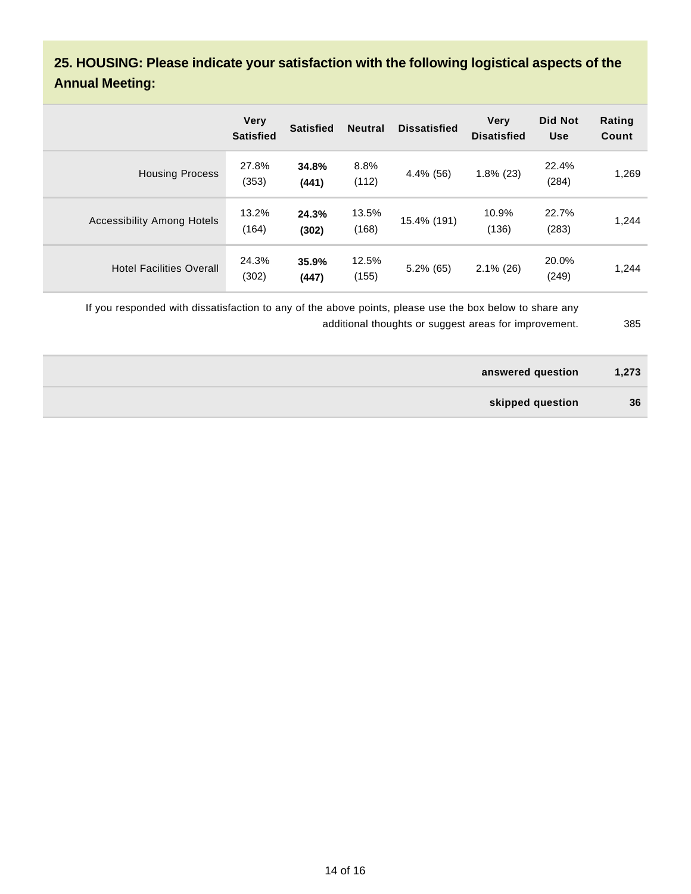### **25. HOUSING: Please indicate your satisfaction with the following logistical aspects of the Annual Meeting:**

|                                 | <b>Very</b><br><b>Satisfied</b> | <b>Satisfied</b> | <b>Neutral</b> | <b>Dissatisfied</b> | <b>Very</b><br><b>Disatisfied</b> | <b>Did Not</b><br><b>Use</b> | Rating<br>Count |
|---------------------------------|---------------------------------|------------------|----------------|---------------------|-----------------------------------|------------------------------|-----------------|
| <b>Housing Process</b>          | 27.8%<br>(353)                  | 34.8%<br>(441)   | 8.8%<br>(112)  | 4.4% (56)           | $1.8\%$ (23)                      | 22.4%<br>(284)               | 1,269           |
| Accessibility Among Hotels      | 13.2%<br>(164)                  | 24.3%<br>(302)   | 13.5%<br>(168) | 15.4% (191)         | 10.9%<br>(136)                    | 22.7%<br>(283)               | 1,244           |
| <b>Hotel Facilities Overall</b> | 24.3%<br>(302)                  | 35.9%<br>(447)   | 12.5%<br>(155) | $5.2\%$ (65)        | $2.1\%$ (26)                      | 20.0%<br>(249)               | 1,244           |

If you responded with dissatisfaction to any of the above points, please use the box below to share any additional thoughts or suggest areas for improvement. 385

| answered question | 1,273 |
|-------------------|-------|
| skipped question  | 36    |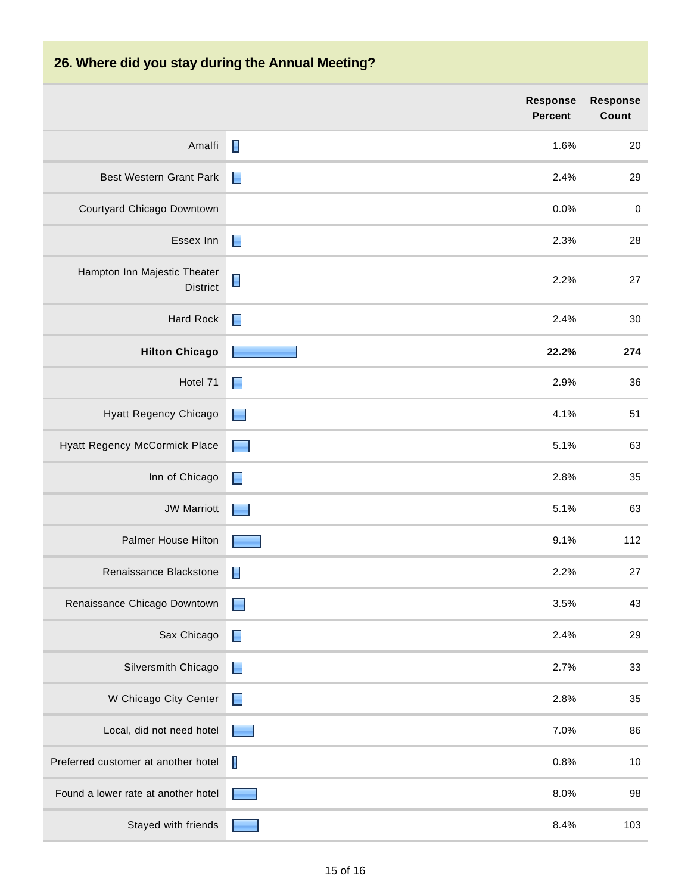# **26. Where did you stay during the Annual Meeting?**

|                                                 | <b>Response</b><br><b>Percent</b> | <b>Response</b><br>Count |
|-------------------------------------------------|-----------------------------------|--------------------------|
| Amalfi                                          | 1.6%                              | $20\,$                   |
| <b>Best Western Grant Park</b>                  | $\blacksquare$<br>2.4%            | 29                       |
| Courtyard Chicago Downtown                      | 0.0%                              | $\pmb{0}$                |
| Essex Inn                                       | $\blacksquare$<br>2.3%            | 28                       |
| Hampton Inn Majestic Theater<br><b>District</b> | 2.2%                              | 27                       |
| Hard Rock                                       | $\blacksquare$<br>2.4%            | $30\,$                   |
| <b>Hilton Chicago</b>                           | 22.2%                             | 274                      |
| Hotel 71                                        | 2.9%<br>$\blacksquare$            | 36                       |
| Hyatt Regency Chicago                           | 4.1%<br>$\Box$                    | 51                       |
| Hyatt Regency McCormick Place                   | 5.1%<br>٠                         | 63                       |
| Inn of Chicago                                  | 2.8%<br>$\blacksquare$            | 35                       |
| <b>JW Marriott</b>                              | 5.1%                              | 63                       |
| Palmer House Hilton                             | 9.1%                              | 112                      |
| Renaissance Blackstone                          | 2.2%<br>E                         | 27                       |
| Renaissance Chicago Downtown                    | 3.5%<br>$\overline{\phantom{0}}$  | 43                       |
| Sax Chicago                                     | 2.4%<br>Е                         | 29                       |
| Silversmith Chicago                             | 2.7%<br>$\blacksquare$            | 33                       |
| W Chicago City Center                           | $\Box$<br>2.8%                    | $35\,$                   |
| Local, did not need hotel                       | 7.0%                              | 86                       |
| Preferred customer at another hotel             | $\blacksquare$<br>0.8%            | $10$                     |
| Found a lower rate at another hotel             | 8.0%                              | 98                       |
| Stayed with friends                             | 8.4%                              | 103                      |